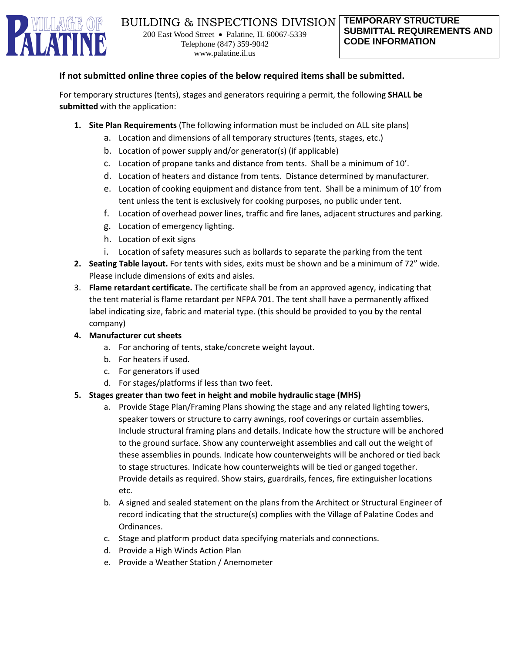

#### **If not submitted online three copies of the below required items shall be submitted.**

For temporary structures (tents), stages and generators requiring a permit, the following **SHALL be submitted** with the application:

- **1. Site Plan Requirements** (The following information must be included on ALL site plans)
	- a. Location and dimensions of all temporary structures (tents, stages, etc.)
	- b. Location of power supply and/or generator(s) (if applicable)
	- c. Location of propane tanks and distance from tents. Shall be a minimum of 10'.
	- d. Location of heaters and distance from tents. Distance determined by manufacturer.
	- e. Location of cooking equipment and distance from tent. Shall be a minimum of 10' from tent unless the tent is exclusively for cooking purposes, no public under tent.
	- f. Location of overhead power lines, traffic and fire lanes, adjacent structures and parking.
	- g. Location of emergency lighting.
	- h. Location of exit signs
	- i. Location of safety measures such as bollards to separate the parking from the tent
- **2. Seating Table layout.** For tents with sides, exits must be shown and be a minimum of 72" wide. Please include dimensions of exits and aisles.
- 3. **Flame retardant certificate.** The certificate shall be from an approved agency, indicating that the tent material is flame retardant per NFPA 701. The tent shall have a permanently affixed label indicating size, fabric and material type. (this should be provided to you by the rental company)
- **4. Manufacturer cut sheets** 
	- a. For anchoring of tents, stake/concrete weight layout.
	- b. For heaters if used.
	- c. For generators if used
	- d. For stages/platforms if less than two feet.

#### **5. Stages greater than two feet in height and mobile hydraulic stage (MHS)**

- a. Provide Stage Plan/Framing Plans showing the stage and any related lighting towers, speaker towers or structure to carry awnings, roof coverings or curtain assemblies. Include structural framing plans and details. Indicate how the structure will be anchored to the ground surface. Show any counterweight assemblies and call out the weight of these assemblies in pounds. Indicate how counterweights will be anchored or tied back to stage structures. Indicate how counterweights will be tied or ganged together. Provide details as required. Show stairs, guardrails, fences, fire extinguisher locations etc.
- b. A signed and sealed statement on the plans from the Architect or Structural Engineer of record indicating that the structure(s) complies with the Village of Palatine Codes and Ordinances.
- c. Stage and platform product data specifying materials and connections.
- d. Provide a High Winds Action Plan
- e. Provide a Weather Station / Anemometer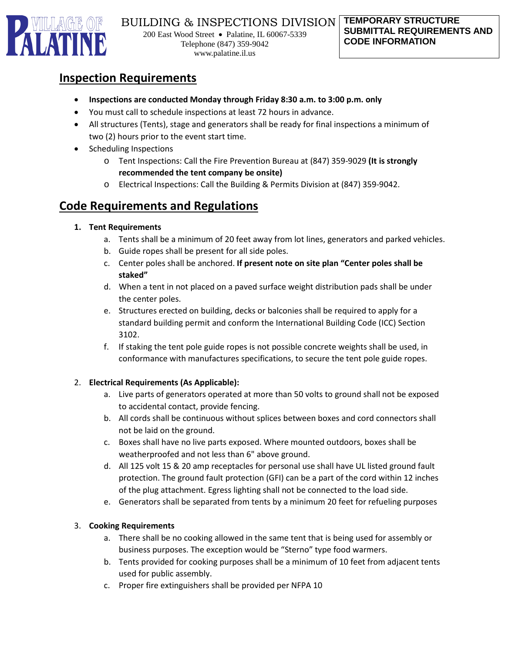

# **Inspection Requirements**

- **Inspections are conducted Monday through Friday 8:30 a.m. to 3:00 p.m. only**
- You must call to schedule inspections at least 72 hours in advance.
- All structures (Tents), stage and generators shall be ready for final inspections a minimum of two (2) hours prior to the event start time.
- Scheduling Inspections
	- o Tent Inspections: Call the Fire Prevention Bureau at (847) 359-9029 **(It is strongly recommended the tent company be onsite)**
	- o Electrical Inspections: Call the Building & Permits Division at (847) 359-9042.

# **Code Requirements and Regulations**

#### **1. Tent Requirements**

- a. Tents shall be a minimum of 20 feet away from lot lines, generators and parked vehicles.
- b. Guide ropes shall be present for all side poles.
- c. Center poles shall be anchored. **If present note on site plan "Center poles shall be staked"**
- d. When a tent in not placed on a paved surface weight distribution pads shall be under the center poles.
- e. Structures erected on building, decks or balconies shall be required to apply for a standard building permit and conform the International Building Code (ICC) Section 3102.
- f. If staking the tent pole guide ropes is not possible concrete weights shall be used, in conformance with manufactures specifications, to secure the tent pole guide ropes.

### 2. **Electrical Requirements (As Applicable):**

- a. Live parts of generators operated at more than 50 volts to ground shall not be exposed to accidental contact, provide fencing.
- b. All cords shall be continuous without splices between boxes and cord connectors shall not be laid on the ground.
- c. Boxes shall have no live parts exposed. Where mounted outdoors, boxes shall be weatherproofed and not less than 6" above ground.
- d. All 125 volt 15 & 20 amp receptacles for personal use shall have UL listed ground fault protection. The ground fault protection (GFI) can be a part of the cord within 12 inches of the plug attachment. Egress lighting shall not be connected to the load side.
- e. Generators shall be separated from tents by a minimum 20 feet for refueling purposes

### 3. **Cooking Requirements**

- a. There shall be no cooking allowed in the same tent that is being used for assembly or business purposes. The exception would be "Sterno" type food warmers.
- b. Tents provided for cooking purposes shall be a minimum of 10 feet from adjacent tents used for public assembly.
- c. Proper fire extinguishers shall be provided per NFPA 10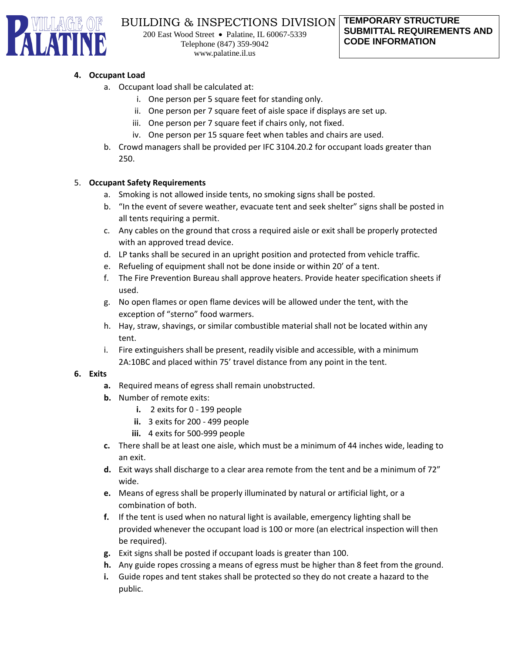

## BUILDING & INSPECTIONS DIVISION

200 East Wood Street • Palatine, IL 60067-5339 Telephone (847) 359-9042 www.palatine.il.us

#### **4. Occupant Load**

- a. Occupant load shall be calculated at:
	- i. One person per 5 square feet for standing only.
	- ii. One person per 7 square feet of aisle space if displays are set up.
	- iii. One person per 7 square feet if chairs only, not fixed.
	- iv. One person per 15 square feet when tables and chairs are used.
- b. Crowd managers shall be provided per IFC 3104.20.2 for occupant loads greater than 250.

#### 5. **Occupant Safety Requirements**

- a. Smoking is not allowed inside tents, no smoking signs shall be posted.
- b. "In the event of severe weather, evacuate tent and seek shelter" signs shall be posted in all tents requiring a permit.
- c. Any cables on the ground that cross a required aisle or exit shall be properly protected with an approved tread device.
- d. LP tanks shall be secured in an upright position and protected from vehicle traffic.
- e. Refueling of equipment shall not be done inside or within 20' of a tent.
- f. The Fire Prevention Bureau shall approve heaters. Provide heater specification sheets if used.
- g. No open flames or open flame devices will be allowed under the tent, with the exception of "sterno" food warmers.
- h. Hay, straw, shavings, or similar combustible material shall not be located within any tent.
- i. Fire extinguishers shall be present, readily visible and accessible, with a minimum 2A:10BC and placed within 75' travel distance from any point in the tent.

#### **6. Exits**

- **a.** Required means of egress shall remain unobstructed.
- **b.** Number of remote exits:
	- **i.** 2 exits for 0 199 people
	- **ii.** 3 exits for 200 499 people
	- **iii.** 4 exits for 500-999 people
- **c.** There shall be at least one aisle, which must be a minimum of 44 inches wide, leading to an exit.
- **d.** Exit ways shall discharge to a clear area remote from the tent and be a minimum of 72" wide.
- **e.** Means of egress shall be properly illuminated by natural or artificial light, or a combination of both.
- **f.** If the tent is used when no natural light is available, emergency lighting shall be provided whenever the occupant load is 100 or more (an electrical inspection will then be required).
- **g.** Exit signs shall be posted if occupant loads is greater than 100.
- **h.** Any guide ropes crossing a means of egress must be higher than 8 feet from the ground.
- **i.** Guide ropes and tent stakes shall be protected so they do not create a hazard to the public.